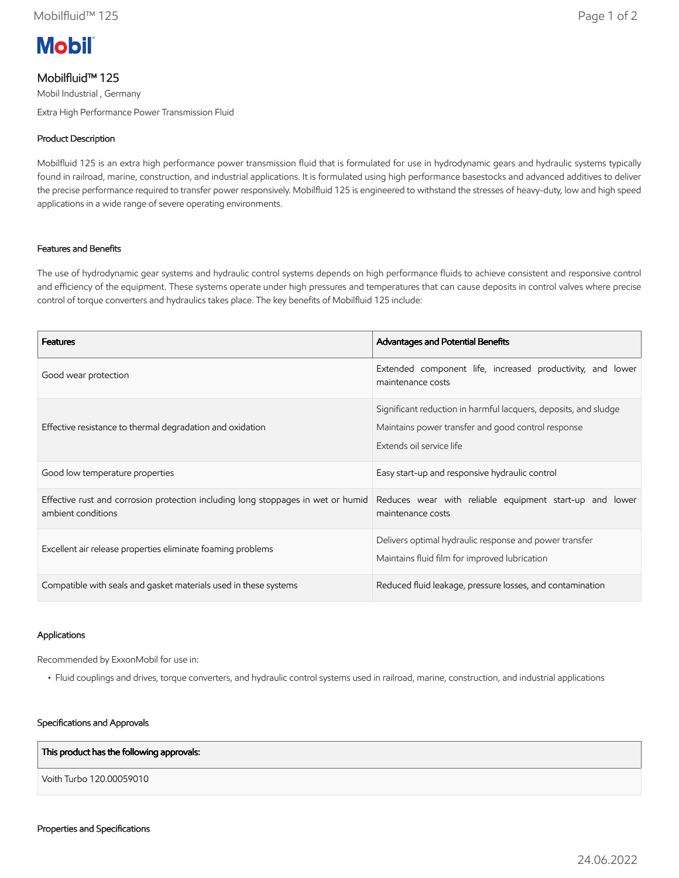

# Mobilfluid™ 125

Mobil Industrial , Germany Extra High Performance Power Transmission Fluid

## Product Description

Mobilfluid 125 is an extra high performance power transmission fluid that is formulated for use in hydrodynamic gears and hydraulic systems typically found in railroad, marine, construction, and industrial applications. It is formulated using high performance basestocks and advanced additives to deliver the precise performance required to transfer power responsively. Mobilfluid 125 is engineered to withstand the stresses of heavy-duty, low and high speed applications in a wide range of severe operating environments.

### Features and Benefits

The use of hydrodynamic gear systems and hydraulic control systems depends on high performance fluids to achieve consistent and responsive control and efficiency of the equipment. These systems operate under high pressures and temperatures that can cause deposits in control valves where precise control of torque converters and hydraulics takes place. The key benefits of Mobilfluid 125 include:

| <b>Features</b>                                                                                        | Advantages and Potential Benefits                                                                                                                 |
|--------------------------------------------------------------------------------------------------------|---------------------------------------------------------------------------------------------------------------------------------------------------|
| Good wear protection                                                                                   | Extended component life, increased productivity, and lower<br>maintenance costs                                                                   |
| Effective resistance to thermal degradation and oxidation                                              | Significant reduction in harmful lacquers, deposits, and sludge<br>Maintains power transfer and good control response<br>Extends oil service life |
| Good low temperature properties                                                                        | Easy start-up and responsive hydraulic control                                                                                                    |
| Effective rust and corrosion protection including long stoppages in wet or humid<br>ambient conditions | Reduces wear with reliable equipment start-up and lower<br>maintenance costs                                                                      |
| Excellent air release properties eliminate foaming problems                                            | Delivers optimal hydraulic response and power transfer<br>Maintains fluid film for improved lubrication                                           |
| Compatible with seals and gasket materials used in these systems                                       | Reduced fluid leakage, pressure losses, and contamination                                                                                         |

#### Applications

Recommended by ExxonMobil for use in:

• Fluid couplings and drives, torque converters, and hydraulic control systems used in railroad, marine, construction, and industrial applications

#### Specifications and Approvals

#### This product has the following approvals:

Voith Turbo 120.00059010